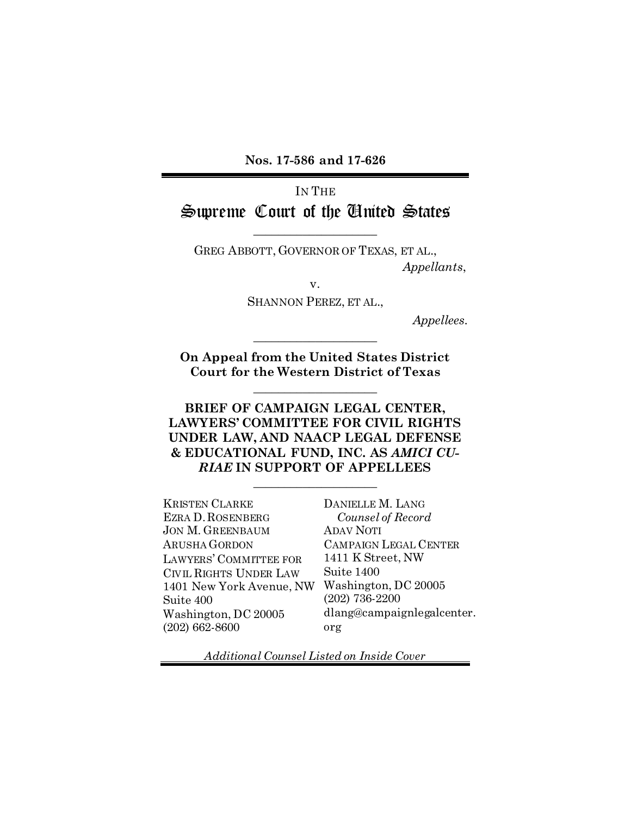**Nos. 17-586 and 17-626**

# IN THE Supreme Court of the United States

 $\overline{\phantom{a}}$  , where  $\overline{\phantom{a}}$  , where  $\overline{\phantom{a}}$ 

GREG ABBOTT, GOVERNOR OF TEXAS, ET AL., *Appellants*,

v.

SHANNON PEREZ, ET AL.,

*Appellees*.

**On Appeal from the United States District Court for the Western District of Texas**

 $\overline{\phantom{a}}$  , where  $\overline{\phantom{a}}$  , where  $\overline{\phantom{a}}$ 

 $\overline{\phantom{a}}$  , where  $\overline{\phantom{a}}$  , where  $\overline{\phantom{a}}$ 

**BRIEF OF CAMPAIGN LEGAL CENTER, LAWYERS' COMMITTEE FOR CIVIL RIGHTS UNDER LAW, AND NAACP LEGAL DEFENSE & EDUCATIONAL FUND, INC. AS** *AMICI CU-RIAE* **IN SUPPORT OF APPELLEES**

 $\overline{\phantom{a}}$  , where  $\overline{\phantom{a}}$  , where  $\overline{\phantom{a}}$ 

KRISTEN CLARKE EZRA D.ROSENBERG JON M. GREENBAUM ARUSHA GORDON LAWYERS' COMMITTEE FOR CIVIL RIGHTS UNDER LAW 1401 New York Avenue, NW Washington, DC 20005 Suite 400 Washington, DC 20005 (202) 662-8600

DANIELLE M. LANG *Counsel of Record* ADAV NOTI CAMPAIGN LEGAL CENTER 1411 K Street, NW Suite 1400 (202) 736-2200 dlang@campaignlegalcenter. org

*Additional Counsel Listed on Inside Cover*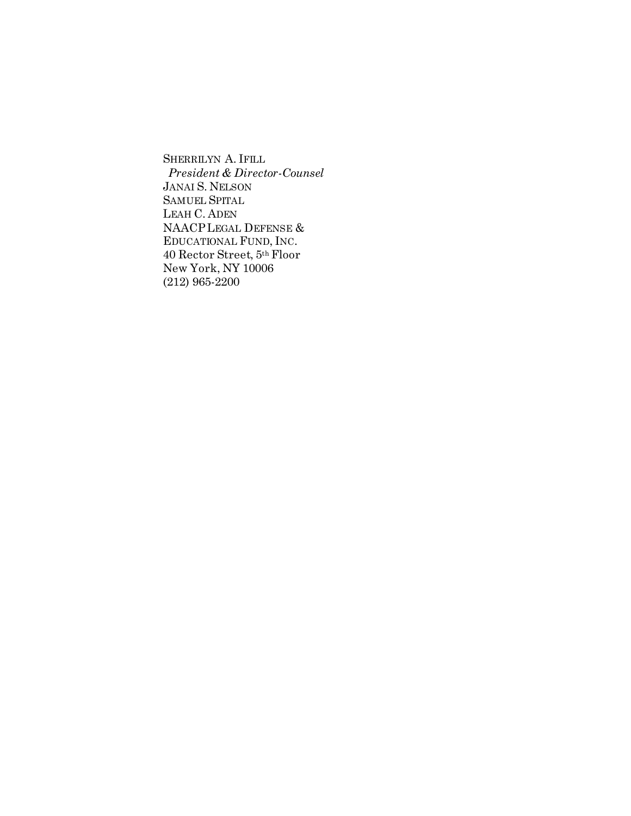SHERRILYN A. IFILL *President & Director-Counsel* JANAI S. NELSON SAMUEL SPITAL LEAH C. ADEN NAACPLEGAL DEFENSE & EDUCATIONAL FUND, INC. 40 Rector Street, 5th Floor New York, NY 10006 (212) 965-2200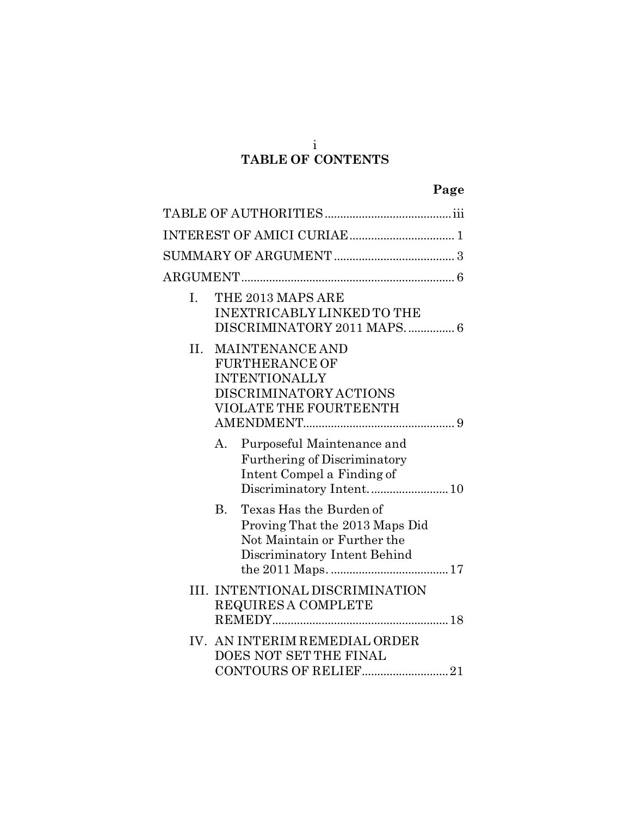# **TABLE OF CONTENTS**

| I.  | THE 2013 MAPS ARE<br><b>INEXTRICABLY LINKED TO THE</b><br>DISCRIMINATORY 2011 MAPS 6                                                  |  |
|-----|---------------------------------------------------------------------------------------------------------------------------------------|--|
| II. | <b>MAINTENANCE AND</b><br><b>FURTHERANCE OF</b><br><b>INTENTIONALLY</b><br>DISCRIMINATORY ACTIONS<br>VIOLATE THE FOURTEENTH           |  |
|     | Purposeful Maintenance and<br>А.<br><b>Furthering of Discriminatory</b><br>Intent Compel a Finding of                                 |  |
|     | Texas Has the Burden of<br><b>B.</b><br>Proving That the 2013 Maps Did<br>Not Maintain or Further the<br>Discriminatory Intent Behind |  |
|     | III. INTENTIONAL DISCRIMINATION<br>REQUIRES A COMPLETE                                                                                |  |
| IV. | AN INTERIM REMEDIAL ORDER<br>DOES NOT SET THE FINAL<br>CONTOURS OF RELIEF21                                                           |  |

i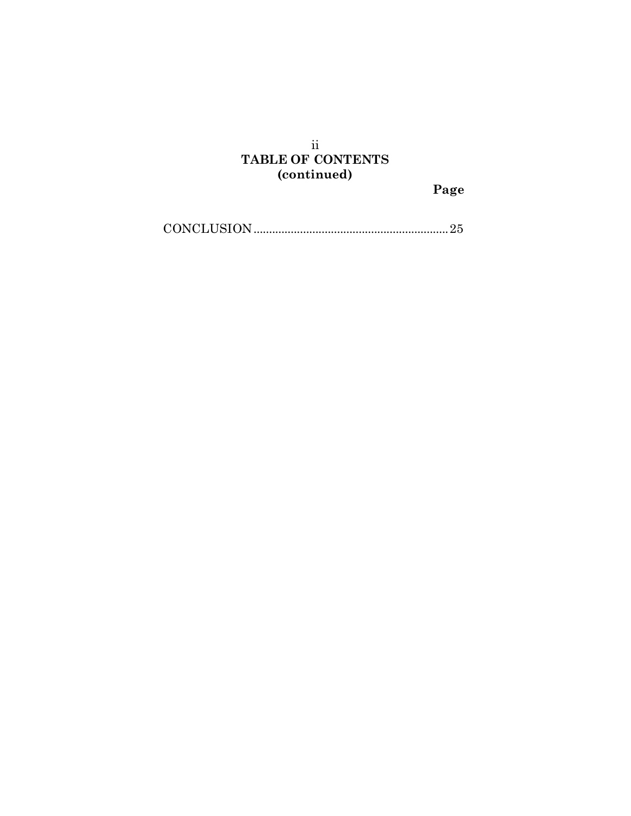## ii **TABLE OF CONTENTS (continued)**

**Page**

[CONCLUSION...............................................................25](#page-31-0)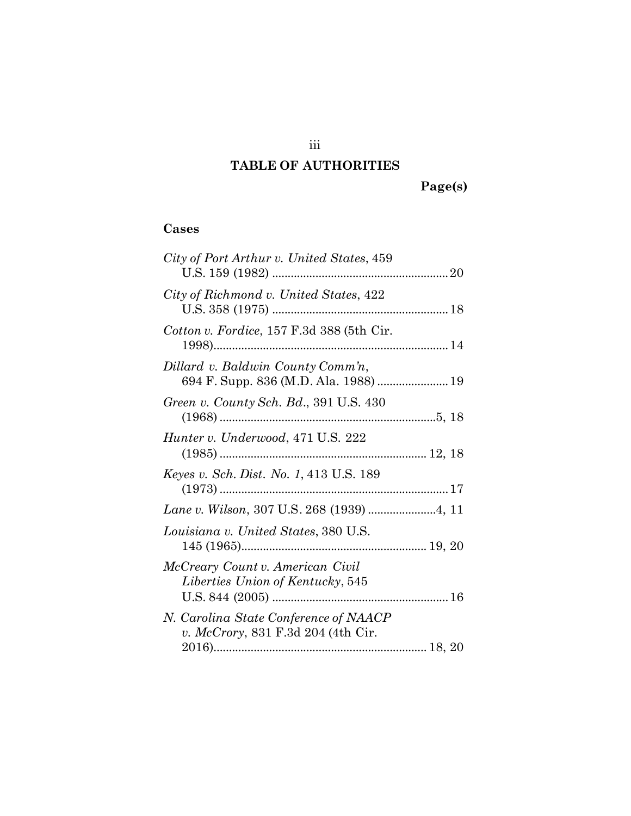### iii

# **TABLE OF AUTHORITIES**

### **Cases**

| City of Port Arthur v. United States, 459                                   |
|-----------------------------------------------------------------------------|
| City of Richmond v. United States, 422                                      |
| Cotton v. Fordice, $157$ F.3d 388 (5th Cir.                                 |
| Dillard v. Baldwin County Comm'n,                                           |
| Green v. County Sch. Bd., 391 U.S. 430                                      |
| Hunter v. Underwood, 471 U.S. 222                                           |
| <i>Keyes v. Sch. Dist. No. 1,</i> 413 U.S. 189                              |
|                                                                             |
| Louisiana v. United States, 380 U.S.                                        |
| McCreary Count v. American Civil<br>Liberties Union of Kentucky, 545        |
| N. Carolina State Conference of NAACP<br>v. McCrory, 831 F.3d 204 (4th Cir. |
|                                                                             |

**Page(s)**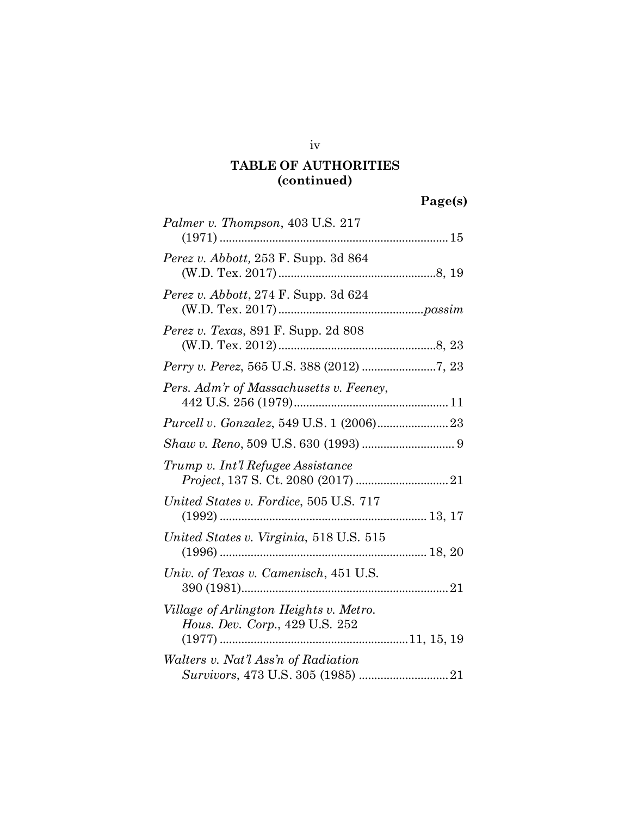# **TABLE OF AUTHORITIES (continued)**

**Page(s)**

| Palmer v. Thompson, 403 U.S. 217                                                                                                                                                                                                                                                                                                                                                                                             |
|------------------------------------------------------------------------------------------------------------------------------------------------------------------------------------------------------------------------------------------------------------------------------------------------------------------------------------------------------------------------------------------------------------------------------|
| Perez v. Abbott, 253 F. Supp. 3d 864                                                                                                                                                                                                                                                                                                                                                                                         |
| Perez v. Abbott, 274 F. Supp. 3d 624                                                                                                                                                                                                                                                                                                                                                                                         |
| Perez v. Texas, 891 F. Supp. 2d 808                                                                                                                                                                                                                                                                                                                                                                                          |
|                                                                                                                                                                                                                                                                                                                                                                                                                              |
| Pers. Adm'r of Massachusetts v. Feeney,                                                                                                                                                                                                                                                                                                                                                                                      |
|                                                                                                                                                                                                                                                                                                                                                                                                                              |
| $Shaw\ v.\ Reno,\ 509\ U.S.\ 630\ (1993) \ldots\hspace{-1.5mm}\ldots\hspace{-1.5mm}\ldots\hspace{-1.5mm}\ldots\hspace{-1.5mm}\ldots\hspace{-1.5mm}\ldots\hspace{-1.5mm}\ldots\hspace{-1.5mm}\ldots\hspace{-1.5mm}\ldots\hspace{-1.5mm}\ldots\hspace{-1.5mm}\ldots\hspace{-1.5mm}\ldots\hspace{-1.5mm}\ldots\hspace{-1.5mm}\ldots\hspace{-1.5mm}\ldots\hspace{-1.5mm}\ldots\hspace{-1.5mm}\ldots\hspace{-1.5mm}\ldots\hspace$ |
| Trump v. Int'l Refugee Assistance                                                                                                                                                                                                                                                                                                                                                                                            |
| United States v. Fordice, 505 U.S. 717                                                                                                                                                                                                                                                                                                                                                                                       |
| United States v. Virginia, 518 U.S. 515                                                                                                                                                                                                                                                                                                                                                                                      |
| Univ. of Texas v. Camenisch, 451 U.S.                                                                                                                                                                                                                                                                                                                                                                                        |
| Village of Arlington Heights v. Metro.<br>Hous. Dev. Corp., 429 U.S. 252                                                                                                                                                                                                                                                                                                                                                     |
| Walters v. Nat'l Ass'n of Radiation                                                                                                                                                                                                                                                                                                                                                                                          |

iv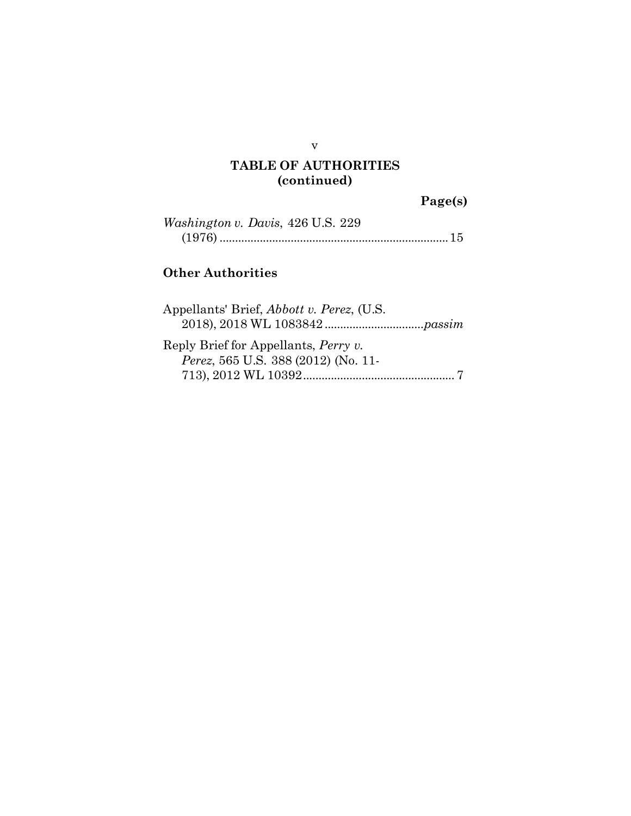#### v

# **TABLE OF AUTHORITIES (continued)**

**Page(s)**

| <i>Washington v. Davis, 426 U.S. 229</i> |  |  |
|------------------------------------------|--|--|
|                                          |  |  |

# **Other Authorities**

| Appellants' Brief, Abbott v. Perez, (U.S. |  |
|-------------------------------------------|--|
|                                           |  |
| Reply Brief for Appellants, Perry v.      |  |
| Perez, 565 U.S. 388 (2012) (No. 11-       |  |
|                                           |  |
|                                           |  |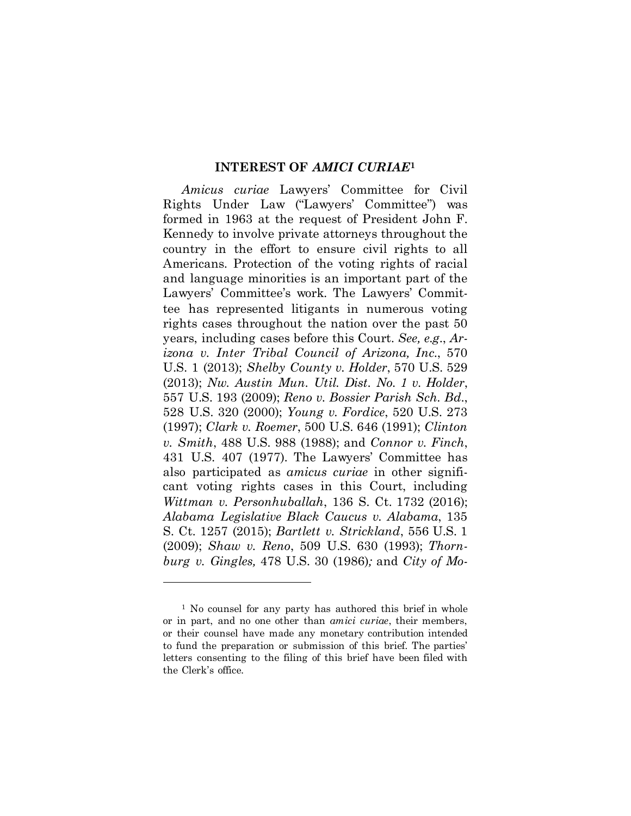#### **INTEREST OF** *AMICI CURIAE***<sup>1</sup>**

<span id="page-7-0"></span>*Amicus curiae* Lawyers' Committee for Civil Rights Under Law ("Lawyers' Committee") was formed in 1963 at the request of President John F. Kennedy to involve private attorneys throughout the country in the effort to ensure civil rights to all Americans. Protection of the voting rights of racial and language minorities is an important part of the Lawyers' Committee's work. The Lawyers' Committee has represented litigants in numerous voting rights cases throughout the nation over the past 50 years, including cases before this Court. *See, e.g.*, *Arizona v. Inter Tribal Council of Arizona, Inc.*, 570 U.S. 1 (2013); *Shelby County v. Holder*, 570 U.S. 529 (2013); *Nw. Austin Mun. Util. Dist. No. 1 v. Holder*, 557 U.S. 193 (2009); *Reno v. Bossier Parish Sch. Bd.*, 528 U.S. 320 (2000); *Young v. Fordice*, 520 U.S. 273 (1997); *Clark v. Roemer*, 500 U.S. 646 (1991); *Clinton v. Smith*, 488 U.S. 988 (1988); and *Connor v. Finch*, 431 U.S. 407 (1977). The Lawyers' Committee has also participated as *amicus curiae* in other significant voting rights cases in this Court, including *Wittman v. Personhuballah*, 136 S. Ct. 1732 (2016); *Alabama Legislative Black Caucus v. Alabama*, 135 S. Ct. 1257 (2015); *Bartlett v. Strickland*, 556 U.S. 1 (2009); *Shaw v. Reno*, 509 U.S. 630 (1993); *Thornburg v. Gingles,* 478 U.S. 30 (1986)*;* and *City of Mo-*

 $\overline{a}$ 

<sup>1</sup> No counsel for any party has authored this brief in whole or in part, and no one other than *amici curiae*, their members, or their counsel have made any monetary contribution intended to fund the preparation or submission of this brief. The parties' letters consenting to the filing of this brief have been filed with the Clerk's office.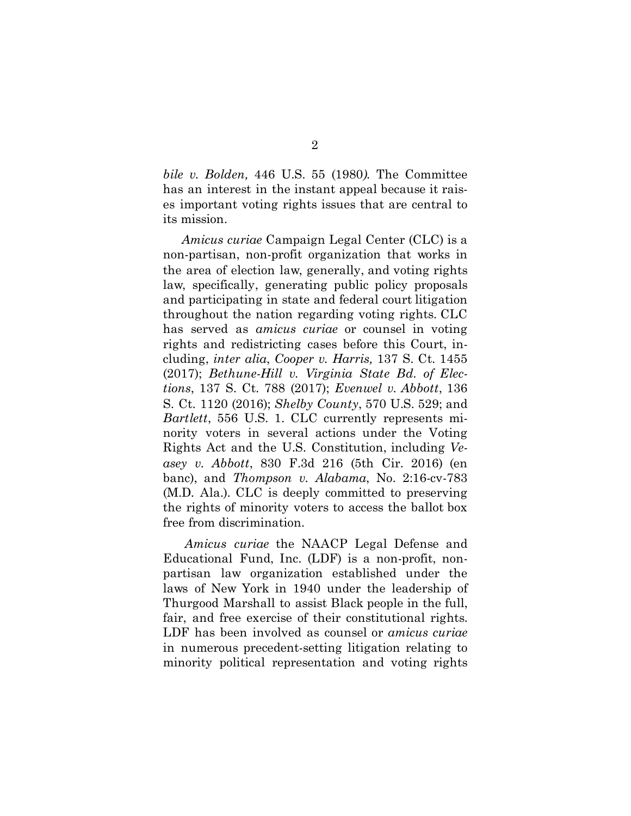*bile v. Bolden,* 446 U.S. 55 (1980*).* The Committee has an interest in the instant appeal because it raises important voting rights issues that are central to its mission.

*Amicus curiae* Campaign Legal Center (CLC) is a non-partisan, non-profit organization that works in the area of election law, generally, and voting rights law, specifically, generating public policy proposals and participating in state and federal court litigation throughout the nation regarding voting rights. CLC has served as *amicus curiae* or counsel in voting rights and redistricting cases before this Court, including, *inter alia*, *Cooper v. Harris,* 137 S. Ct. 1455 (2017); *Bethune-Hill v. Virginia State Bd. of Elections*, 137 S. Ct. 788 (2017); *Evenwel v. Abbott*, 136 S. Ct. 1120 (2016); *Shelby County*, 570 U.S. 529; and *Bartlett*, 556 U.S. 1. CLC currently represents minority voters in several actions under the Voting Rights Act and the U.S. Constitution, including *Veasey v. Abbott*, 830 F.3d 216 (5th Cir. 2016) (en banc), and *Thompson v. Alabama*, No. 2:16-cv-783 (M.D. Ala.). CLC is deeply committed to preserving the rights of minority voters to access the ballot box free from discrimination.

*Amicus curiae* the NAACP Legal Defense and Educational Fund, Inc. (LDF) is a non-profit, nonpartisan law organization established under the laws of New York in 1940 under the leadership of Thurgood Marshall to assist Black people in the full, fair, and free exercise of their constitutional rights. LDF has been involved as counsel or *amicus curiae* in numerous precedent-setting litigation relating to minority political representation and voting rights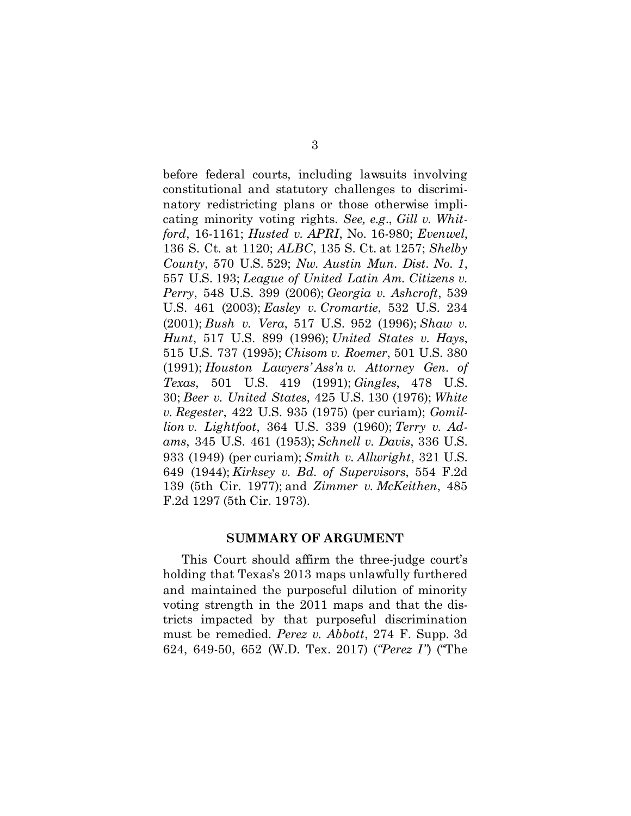before federal courts, including lawsuits involving constitutional and statutory challenges to discriminatory redistricting plans or those otherwise implicating minority voting rights. *See, e.g*., *Gill v. Whitford*, 16-1161; *Husted v. APRI*, No. 16-980; *Evenwel*, 136 S. Ct. at 1120; *ALBC*, 135 S. Ct. at 1257; *Shelby County*, 570 U.S. 529; *Nw. Austin Mun. Dist. No. 1*, 557 U.S. 193; *League of United Latin Am. Citizens v. Perry*, 548 U.S. 399 (2006); *Georgia v. Ashcroft*, 539 U.S. 461 (2003); *Easley v. Cromartie*, 532 U.S. 234 (2001); *Bush v. Vera*, 517 U.S. 952 (1996); *Shaw v. Hunt*, 517 U.S. 899 (1996); *United States v. Hays*, 515 U.S. 737 (1995); *Chisom v. Roemer*, 501 U.S. 380 (1991); *Houston Lawyers' Ass'n v. Attorney Gen. of Texas*, 501 U.S. 419 (1991); *Gingles*, 478 U.S. 30; *Beer v. United States*, 425 U.S. 130 (1976); *White v. Regester*, 422 U.S. 935 (1975) (per curiam); *Gomillion v. Lightfoot*, 364 U.S. 339 (1960); *Terry v. Adams*, 345 U.S. 461 (1953); *Schnell v. Davis*, 336 U.S. 933 (1949) (per curiam); *Smith v. Allwright*, 321 U.S. 649 (1944); *Kirksey v. Bd. of Supervisors*, 554 F.2d 139 (5th Cir. 1977); and *Zimmer v. McKeithen*, 485 F.2d 1297 (5th Cir. 1973).

#### **SUMMARY OF ARGUMENT**

<span id="page-9-0"></span>This Court should affirm the three-judge court's holding that Texas's 2013 maps unlawfully furthered and maintained the purposeful dilution of minority voting strength in the 2011 maps and that the districts impacted by that purposeful discrimination must be remedied. *Perez v. Abbott*, 274 F. Supp. 3d 624, 649-50, 652 (W.D. Tex. 2017) (*"Perez I"*) ("The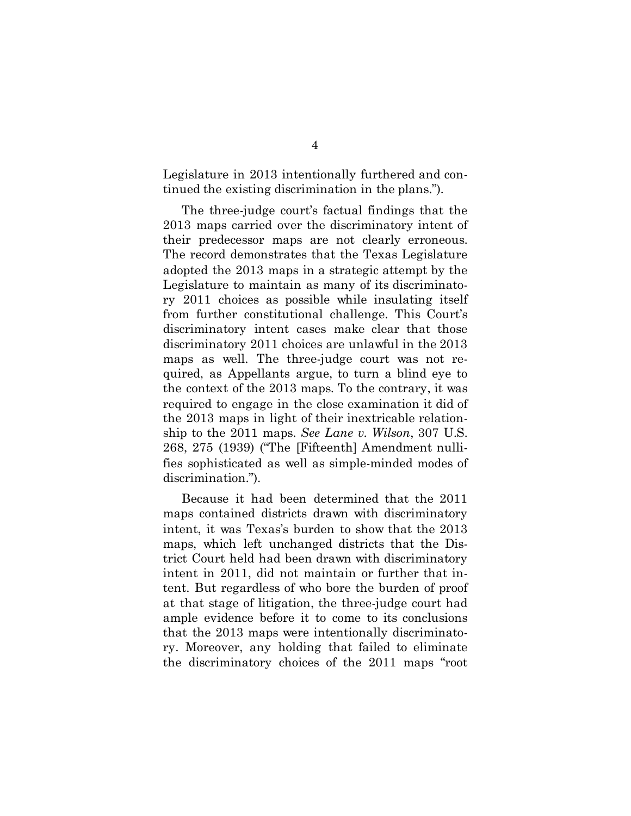Legislature in 2013 intentionally furthered and continued the existing discrimination in the plans.").

The three-judge court's factual findings that the 2013 maps carried over the discriminatory intent of their predecessor maps are not clearly erroneous. The record demonstrates that the Texas Legislature adopted the 2013 maps in a strategic attempt by the Legislature to maintain as many of its discriminatory 2011 choices as possible while insulating itself from further constitutional challenge. This Court's discriminatory intent cases make clear that those discriminatory 2011 choices are unlawful in the 2013 maps as well. The three-judge court was not required, as Appellants argue, to turn a blind eye to the context of the 2013 maps. To the contrary, it was required to engage in the close examination it did of the 2013 maps in light of their inextricable relationship to the 2011 maps. *See Lane v. Wilson*, 307 U.S. 268, 275 (1939) ("The [Fifteenth] Amendment nullifies sophisticated as well as simple-minded modes of discrimination.").

Because it had been determined that the 2011 maps contained districts drawn with discriminatory intent, it was Texas's burden to show that the 2013 maps, which left unchanged districts that the District Court held had been drawn with discriminatory intent in 2011, did not maintain or further that intent. But regardless of who bore the burden of proof at that stage of litigation, the three-judge court had ample evidence before it to come to its conclusions that the 2013 maps were intentionally discriminatory. Moreover, any holding that failed to eliminate the discriminatory choices of the 2011 maps "root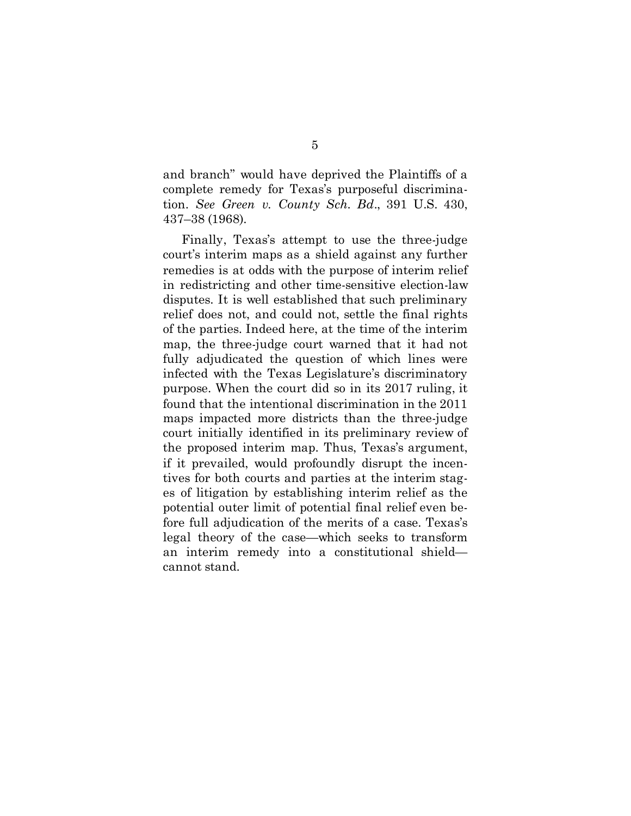and branch" would have deprived the Plaintiffs of a complete remedy for Texas's purposeful discrimination. *See Green v. County Sch. Bd*., 391 U.S. 430, 437–38 (1968).

<span id="page-11-0"></span>Finally, Texas's attempt to use the three-judge court's interim maps as a shield against any further remedies is at odds with the purpose of interim relief in redistricting and other time-sensitive election-law disputes. It is well established that such preliminary relief does not, and could not, settle the final rights of the parties. Indeed here, at the time of the interim map, the three-judge court warned that it had not fully adjudicated the question of which lines were infected with the Texas Legislature's discriminatory purpose. When the court did so in its 2017 ruling, it found that the intentional discrimination in the 2011 maps impacted more districts than the three-judge court initially identified in its preliminary review of the proposed interim map. Thus, Texas's argument, if it prevailed, would profoundly disrupt the incentives for both courts and parties at the interim stages of litigation by establishing interim relief as the potential outer limit of potential final relief even before full adjudication of the merits of a case. Texas's legal theory of the case—which seeks to transform an interim remedy into a constitutional shield cannot stand.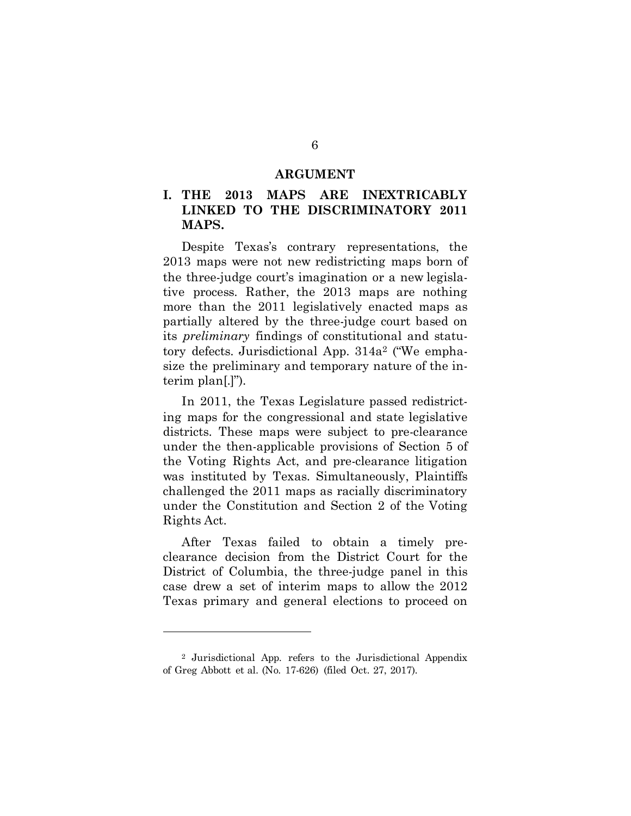#### **ARGUMENT**

### <span id="page-12-0"></span>**I. THE 2013 MAPS ARE INEXTRICABLY LINKED TO THE DISCRIMINATORY 2011 MAPS.**

Despite Texas's contrary representations, the 2013 maps were not new redistricting maps born of the three-judge court's imagination or a new legislative process. Rather, the 2013 maps are nothing more than the 2011 legislatively enacted maps as partially altered by the three-judge court based on its *preliminary* findings of constitutional and statutory defects. Jurisdictional App. 314a2 ("We emphasize the preliminary and temporary nature of the interim plan[.]").

In 2011, the Texas Legislature passed redistricting maps for the congressional and state legislative districts. These maps were subject to pre-clearance under the then-applicable provisions of Section 5 of the Voting Rights Act, and pre-clearance litigation was instituted by Texas. Simultaneously, Plaintiffs challenged the 2011 maps as racially discriminatory under the Constitution and Section 2 of the Voting Rights Act.

After Texas failed to obtain a timely preclearance decision from the District Court for the District of Columbia, the three-judge panel in this case drew a set of interim maps to allow the 2012 Texas primary and general elections to proceed on

l

<sup>2</sup> Jurisdictional App. refers to the Jurisdictional Appendix of Greg Abbott et al. (No. 17-626) (filed Oct. 27, 2017).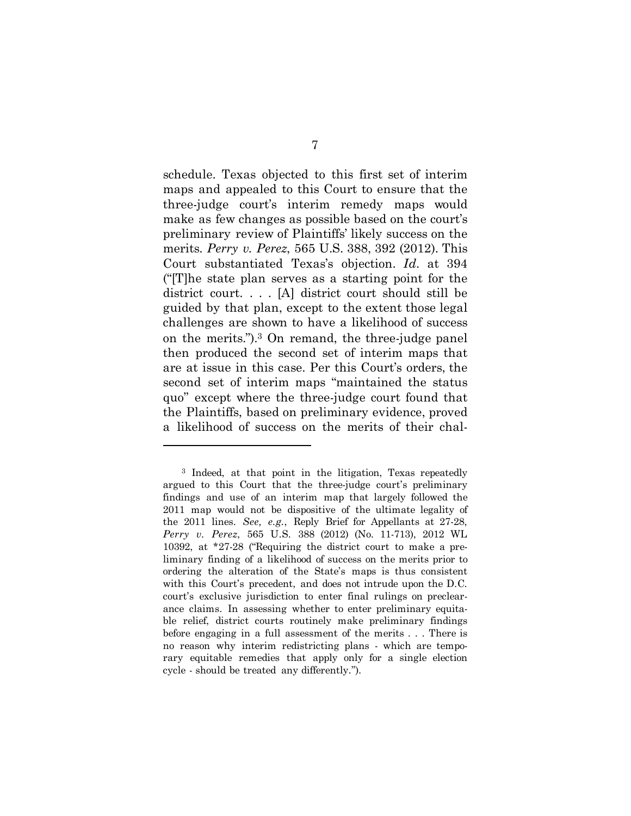schedule. Texas objected to this first set of interim maps and appealed to this Court to ensure that the three-judge court's interim remedy maps would make as few changes as possible based on the court's preliminary review of Plaintiffs' likely success on the merits. *Perry v. Perez*, 565 U.S. 388, 392 (2012). This Court substantiated Texas's objection. *Id.* at 394 ("[T]he state plan serves as a starting point for the district court. . . . [A] district court should still be guided by that plan, except to the extent those legal challenges are shown to have a likelihood of success on the merits.").3 On remand, the three-judge panel then produced the second set of interim maps that are at issue in this case. Per this Court's orders, the second set of interim maps "maintained the status quo" except where the three-judge court found that the Plaintiffs, based on preliminary evidence, proved a likelihood of success on the merits of their chal-

 $\overline{a}$ 

<sup>3</sup> Indeed, at that point in the litigation, Texas repeatedly argued to this Court that the three-judge court's preliminary findings and use of an interim map that largely followed the 2011 map would not be dispositive of the ultimate legality of the 2011 lines. *See, e.g.*, Reply Brief for Appellants at 27-28, *Perry v. Perez*, 565 U.S. 388 (2012) (No. 11-713), 2012 WL 10392, at \*27-28 ("Requiring the district court to make a preliminary finding of a likelihood of success on the merits prior to ordering the alteration of the State's maps is thus consistent with this Court's precedent, and does not intrude upon the D.C. court's exclusive jurisdiction to enter final rulings on preclearance claims. In assessing whether to enter preliminary equitable relief, district courts routinely make preliminary findings before engaging in a full assessment of the merits . . . There is no reason why interim redistricting plans - which are temporary equitable remedies that apply only for a single election cycle - should be treated any differently.").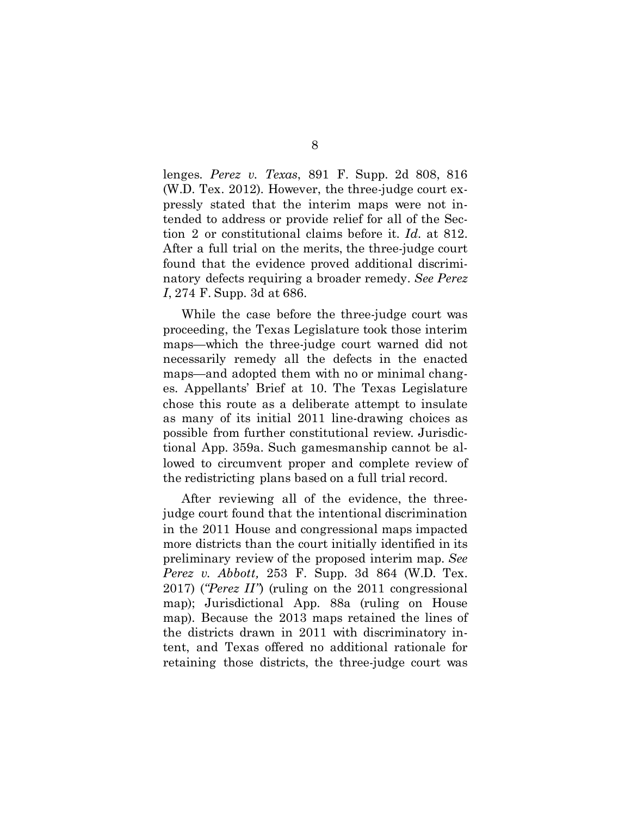lenges. *Perez v. Texas*, 891 F. Supp. 2d 808, 816 (W.D. Tex. 2012). However, the three-judge court expressly stated that the interim maps were not intended to address or provide relief for all of the Section 2 or constitutional claims before it. *Id.* at 812. After a full trial on the merits, the three-judge court found that the evidence proved additional discriminatory defects requiring a broader remedy. *See Perez I*, 274 F. Supp. 3d at 686.

While the case before the three-judge court was proceeding, the Texas Legislature took those interim maps—which the three-judge court warned did not necessarily remedy all the defects in the enacted maps—and adopted them with no or minimal changes. Appellants' Brief at 10. The Texas Legislature chose this route as a deliberate attempt to insulate as many of its initial 2011 line-drawing choices as possible from further constitutional review. Jurisdictional App. 359a. Such gamesmanship cannot be allowed to circumvent proper and complete review of the redistricting plans based on a full trial record.

After reviewing all of the evidence, the threejudge court found that the intentional discrimination in the 2011 House and congressional maps impacted more districts than the court initially identified in its preliminary review of the proposed interim map. *See Perez v. Abbott,* 253 F. Supp. 3d 864 (W.D. Tex. 2017) (*"Perez II"*) (ruling on the 2011 congressional map); Jurisdictional App. 88a (ruling on House map). Because the 2013 maps retained the lines of the districts drawn in 2011 with discriminatory intent, and Texas offered no additional rationale for retaining those districts, the three-judge court was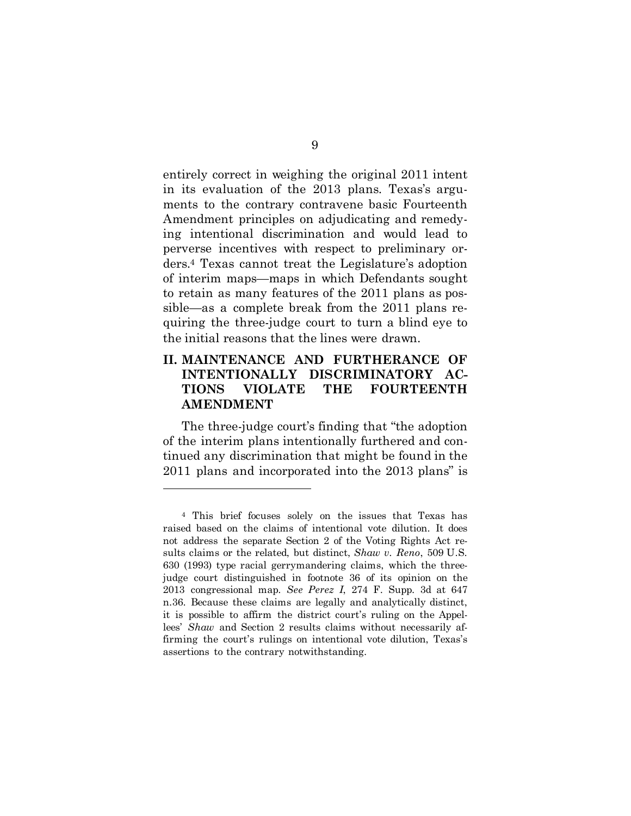entirely correct in weighing the original 2011 intent in its evaluation of the 2013 plans. Texas's arguments to the contrary contravene basic Fourteenth Amendment principles on adjudicating and remedying intentional discrimination and would lead to perverse incentives with respect to preliminary orders.4 Texas cannot treat the Legislature's adoption of interim maps—maps in which Defendants sought to retain as many features of the 2011 plans as possible—as a complete break from the 2011 plans requiring the three-judge court to turn a blind eye to the initial reasons that the lines were drawn.

### <span id="page-15-0"></span>**II. MAINTENANCE AND FURTHERANCE OF INTENTIONALLY DISCRIMINATORY AC-TIONS VIOLATE THE FOURTEENTH AMENDMENT**

The three-judge court's finding that "the adoption of the interim plans intentionally furthered and continued any discrimination that might be found in the 2011 plans and incorporated into the 2013 plans" is

 $\overline{a}$ 

<sup>4</sup> This brief focuses solely on the issues that Texas has raised based on the claims of intentional vote dilution. It does not address the separate Section 2 of the Voting Rights Act results claims or the related, but distinct, *Shaw v. Reno*, 509 U.S. 630 (1993) type racial gerrymandering claims, which the threejudge court distinguished in footnote 36 of its opinion on the 2013 congressional map. *See Perez I*, 274 F. Supp. 3d at 647 n.36. Because these claims are legally and analytically distinct, it is possible to affirm the district court's ruling on the Appellees' *Shaw* and Section 2 results claims without necessarily affirming the court's rulings on intentional vote dilution, Texas's assertions to the contrary notwithstanding.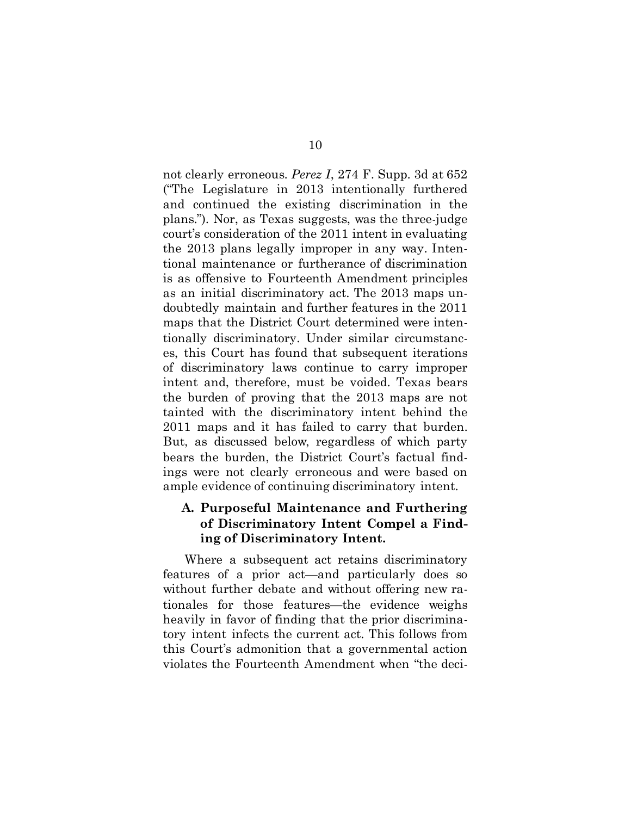not clearly erroneous. *Perez I*, 274 F. Supp. 3d at 652 ("The Legislature in 2013 intentionally furthered and continued the existing discrimination in the plans."). Nor, as Texas suggests, was the three-judge court's consideration of the 2011 intent in evaluating the 2013 plans legally improper in any way. Intentional maintenance or furtherance of discrimination is as offensive to Fourteenth Amendment principles as an initial discriminatory act. The 2013 maps undoubtedly maintain and further features in the 2011 maps that the District Court determined were intentionally discriminatory. Under similar circumstances, this Court has found that subsequent iterations of discriminatory laws continue to carry improper intent and, therefore, must be voided. Texas bears the burden of proving that the 2013 maps are not tainted with the discriminatory intent behind the 2011 maps and it has failed to carry that burden. But, as discussed below, regardless of which party bears the burden, the District Court's factual findings were not clearly erroneous and were based on ample evidence of continuing discriminatory intent.

### <span id="page-16-0"></span>**A. Purposeful Maintenance and Furthering of Discriminatory Intent Compel a Finding of Discriminatory Intent.**

Where a subsequent act retains discriminatory features of a prior act—and particularly does so without further debate and without offering new rationales for those features—the evidence weighs heavily in favor of finding that the prior discriminatory intent infects the current act. This follows from this Court's admonition that a governmental action violates the Fourteenth Amendment when "the deci-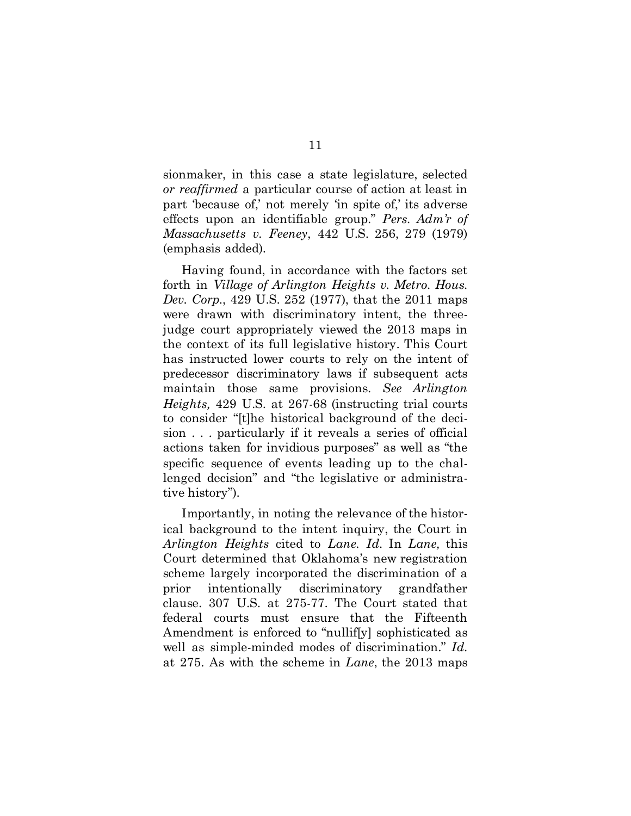sionmaker, in this case a state legislature, selected *or reaffirmed* a particular course of action at least in part 'because of,' not merely 'in spite of,' its adverse effects upon an identifiable group." *Pers. Adm'r of Massachusetts v. Feeney*, 442 U.S. 256, 279 (1979) (emphasis added).

Having found, in accordance with the factors set forth in *Village of Arlington Heights v. Metro. Hous. Dev. Corp.*, 429 U.S. 252 (1977), that the 2011 maps were drawn with discriminatory intent, the threejudge court appropriately viewed the 2013 maps in the context of its full legislative history. This Court has instructed lower courts to rely on the intent of predecessor discriminatory laws if subsequent acts maintain those same provisions. *See Arlington Heights,* 429 U.S. at 267-68 (instructing trial courts to consider "[t]he historical background of the decision . . . particularly if it reveals a series of official actions taken for invidious purposes" as well as "the specific sequence of events leading up to the challenged decision" and "the legislative or administrative history").

Importantly, in noting the relevance of the historical background to the intent inquiry, the Court in *Arlington Heights* cited to *Lane. Id.* In *Lane,* this Court determined that Oklahoma's new registration scheme largely incorporated the discrimination of a prior intentionally discriminatory grandfather clause. 307 U.S. at 275-77. The Court stated that federal courts must ensure that the Fifteenth Amendment is enforced to "nullif[y] sophisticated as well as simple-minded modes of discrimination." *Id.* at 275. As with the scheme in *Lane*, the 2013 maps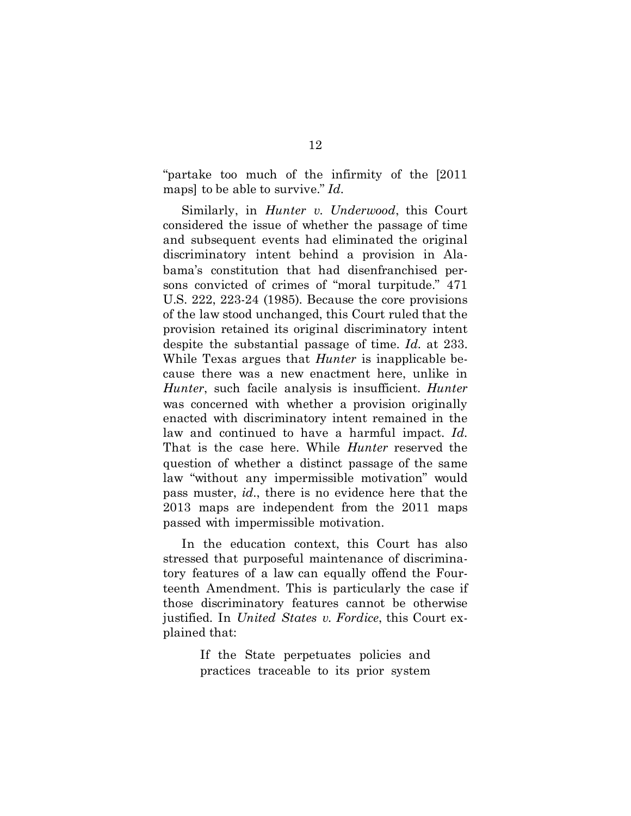"partake too much of the infirmity of the [2011 maps] to be able to survive." *Id.*

Similarly, in *Hunter v. Underwood*, this Court considered the issue of whether the passage of time and subsequent events had eliminated the original discriminatory intent behind a provision in Alabama's constitution that had disenfranchised persons convicted of crimes of "moral turpitude." 471 U.S. 222, 223-24 (1985). Because the core provisions of the law stood unchanged, this Court ruled that the provision retained its original discriminatory intent despite the substantial passage of time. *Id.* at 233. While Texas argues that *Hunter* is inapplicable because there was a new enactment here, unlike in *Hunter*, such facile analysis is insufficient. *Hunter* was concerned with whether a provision originally enacted with discriminatory intent remained in the law and continued to have a harmful impact. *Id.* That is the case here. While *Hunter* reserved the question of whether a distinct passage of the same law "without any impermissible motivation" would pass muster, *id.*, there is no evidence here that the 2013 maps are independent from the 2011 maps passed with impermissible motivation.

In the education context, this Court has also stressed that purposeful maintenance of discriminatory features of a law can equally offend the Fourteenth Amendment. This is particularly the case if those discriminatory features cannot be otherwise justified. In *United States v. Fordice*, this Court explained that:

> If the State perpetuates policies and practices traceable to its prior system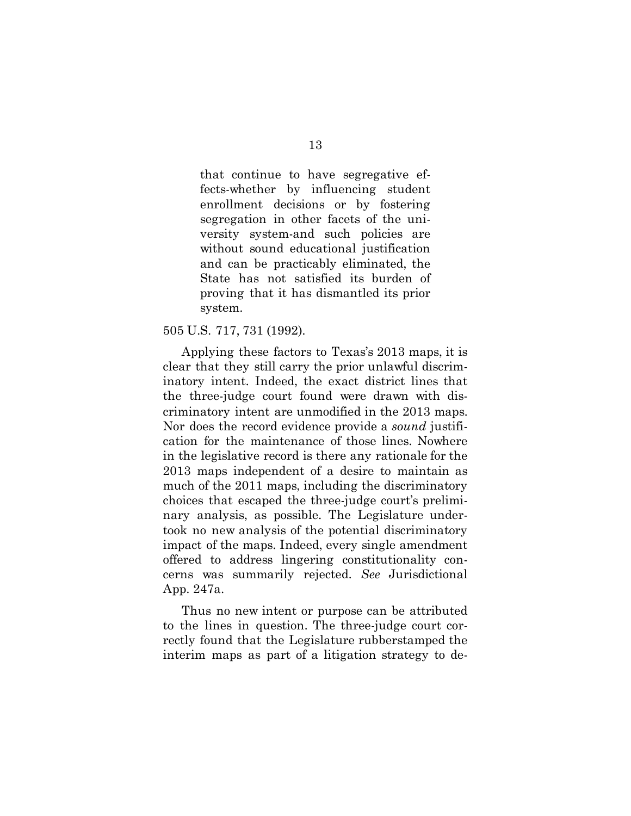that continue to have segregative effects-whether by influencing student enrollment decisions or by fostering segregation in other facets of the university system-and such policies are without sound educational justification and can be practicably eliminated, the State has not satisfied its burden of proving that it has dismantled its prior system.

#### 505 U.S. 717, 731 (1992).

Applying these factors to Texas's 2013 maps, it is clear that they still carry the prior unlawful discriminatory intent. Indeed, the exact district lines that the three-judge court found were drawn with discriminatory intent are unmodified in the 2013 maps. Nor does the record evidence provide a *sound* justification for the maintenance of those lines. Nowhere in the legislative record is there any rationale for the 2013 maps independent of a desire to maintain as much of the 2011 maps, including the discriminatory choices that escaped the three-judge court's preliminary analysis, as possible. The Legislature undertook no new analysis of the potential discriminatory impact of the maps. Indeed, every single amendment offered to address lingering constitutionality concerns was summarily rejected. *See* Jurisdictional App. 247a.

Thus no new intent or purpose can be attributed to the lines in question. The three-judge court correctly found that the Legislature rubberstamped the interim maps as part of a litigation strategy to de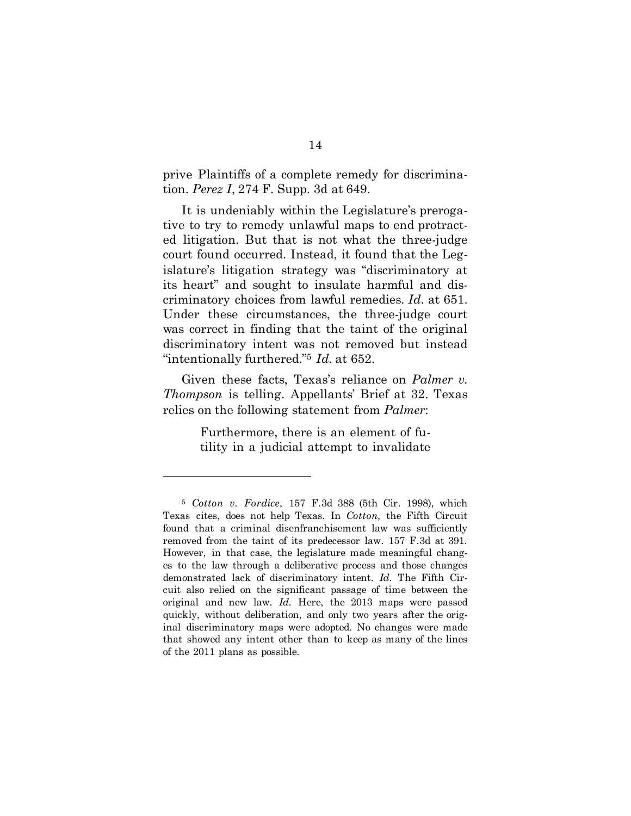prive Plaintiffs of a complete remedy for discrimination. *Perez I*, 274 F. Supp. 3d at 649.

It is undeniably within the Legislature's prerogative to try to remedy unlawful maps to end protracted litigation. But that is not what the three-judge court found occurred. Instead, it found that the Legislature's litigation strategy was "discriminatory at its heart" and sought to insulate harmful and discriminatory choices from lawful remedies. *Id.* at 651. Under these circumstances, the three-judge court was correct in finding that the taint of the original discriminatory intent was not removed but instead "intentionally furthered."5 *Id.* at 652.

Given these facts, Texas's reliance on *Palmer v. Thompson* is telling. Appellants' Brief at 32. Texas relies on the following statement from *Palmer*:

> Furthermore, there is an element of futility in a judicial attempt to invalidate

l

<sup>5</sup> *Cotton v. Fordice*, 157 F.3d 388 (5th Cir. 1998), which Texas cites, does not help Texas. In *Cotton,* the Fifth Circuit found that a criminal disenfranchisement law was sufficiently removed from the taint of its predecessor law. 157 F.3d at 391. However, in that case, the legislature made meaningful changes to the law through a deliberative process and those changes demonstrated lack of discriminatory intent. *Id.* The Fifth Circuit also relied on the significant passage of time between the original and new law. *Id.* Here, the 2013 maps were passed quickly, without deliberation, and only two years after the original discriminatory maps were adopted. No changes were made that showed any intent other than to keep as many of the lines of the 2011 plans as possible.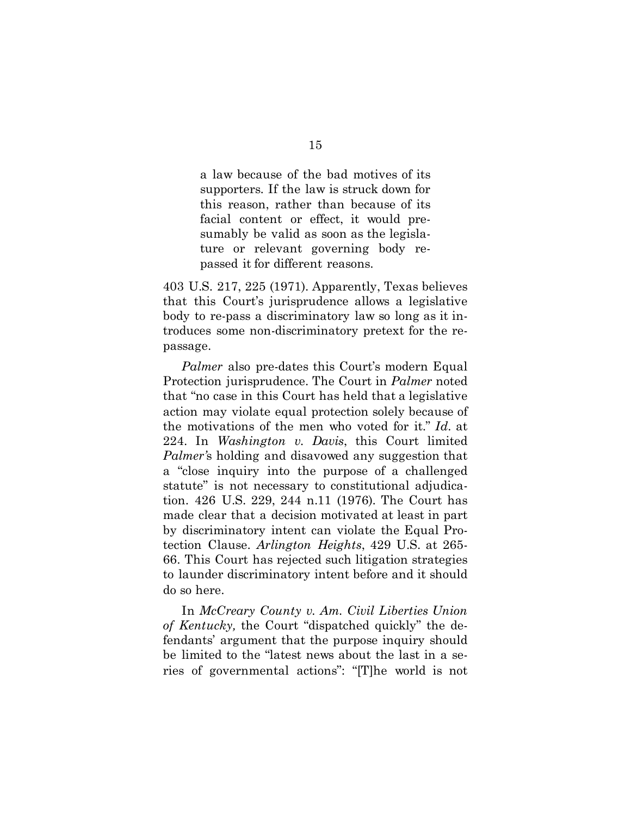a law because of the bad motives of its supporters. If the law is struck down for this reason, rather than because of its facial content or effect, it would presumably be valid as soon as the legislature or relevant governing body repassed it for different reasons.

403 U.S. 217, 225 (1971). Apparently, Texas believes that this Court's jurisprudence allows a legislative body to re-pass a discriminatory law so long as it introduces some non-discriminatory pretext for the repassage.

*Palmer* also pre-dates this Court's modern Equal Protection jurisprudence. The Court in *Palmer* noted that "no case in this Court has held that a legislative action may violate equal protection solely because of the motivations of the men who voted for it." *Id.* at 224. In *Washington v. Davis*, this Court limited *Palmer'*s holding and disavowed any suggestion that a "close inquiry into the purpose of a challenged statute" is not necessary to constitutional adjudication. 426 U.S. 229, 244 n.11 (1976). The Court has made clear that a decision motivated at least in part by discriminatory intent can violate the Equal Protection Clause. *Arlington Heights*, 429 U.S. at 265- 66. This Court has rejected such litigation strategies to launder discriminatory intent before and it should do so here.

In *McCreary County v. Am. Civil Liberties Union of Kentucky,* the Court "dispatched quickly" the defendants' argument that the purpose inquiry should be limited to the "latest news about the last in a series of governmental actions": "[T]he world is not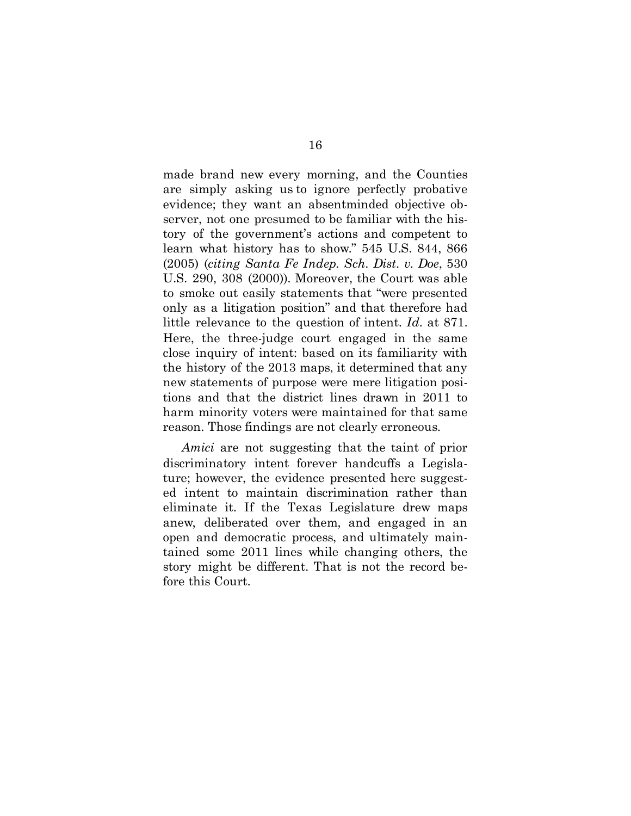made brand new every morning, and the Counties are simply asking us to ignore perfectly probative evidence; they want an absentminded objective observer, not one presumed to be familiar with the history of the government's actions and competent to learn what history has to show." 545 U.S. 844, 866 (2005) (*citing Santa Fe Indep. Sch. Dist. v. Doe*, 530 U.S. 290, 308 (2000)). Moreover, the Court was able to smoke out easily statements that "were presented only as a litigation position" and that therefore had little relevance to the question of intent. *Id.* at 871. Here, the three-judge court engaged in the same close inquiry of intent: based on its familiarity with the history of the 2013 maps, it determined that any new statements of purpose were mere litigation positions and that the district lines drawn in 2011 to harm minority voters were maintained for that same reason. Those findings are not clearly erroneous.

*Amici* are not suggesting that the taint of prior discriminatory intent forever handcuffs a Legislature; however, the evidence presented here suggested intent to maintain discrimination rather than eliminate it. If the Texas Legislature drew maps anew, deliberated over them, and engaged in an open and democratic process, and ultimately maintained some 2011 lines while changing others, the story might be different. That is not the record before this Court.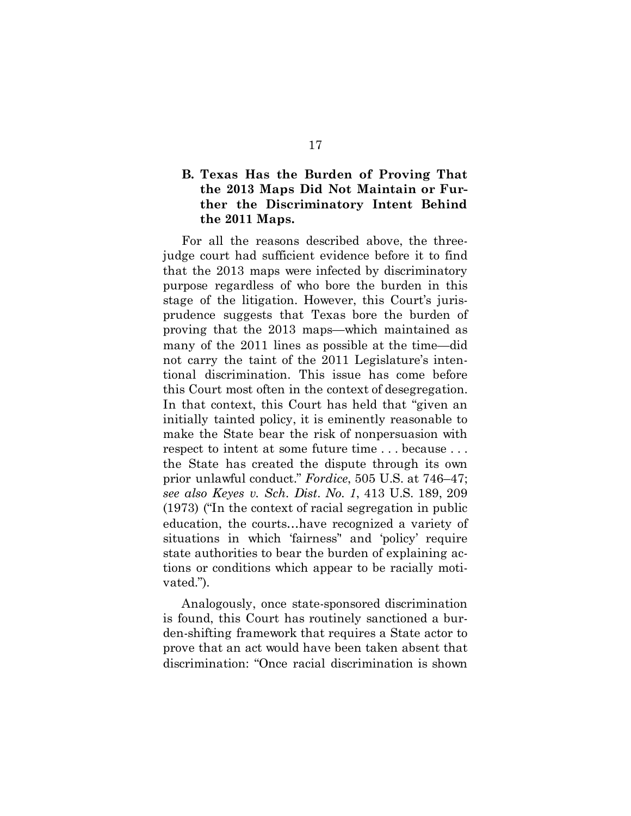### <span id="page-23-0"></span>**B. Texas Has the Burden of Proving That the 2013 Maps Did Not Maintain or Further the Discriminatory Intent Behind the 2011 Maps.**

For all the reasons described above, the threejudge court had sufficient evidence before it to find that the 2013 maps were infected by discriminatory purpose regardless of who bore the burden in this stage of the litigation. However, this Court's jurisprudence suggests that Texas bore the burden of proving that the 2013 maps—which maintained as many of the 2011 lines as possible at the time—did not carry the taint of the 2011 Legislature's intentional discrimination. This issue has come before this Court most often in the context of desegregation. In that context, this Court has held that "given an initially tainted policy, it is eminently reasonable to make the State bear the risk of nonpersuasion with respect to intent at some future time . . . because . . . the State has created the dispute through its own prior unlawful conduct." *Fordice*, 505 U.S. at 746–47; *see also Keyes v. Sch. Dist. No. 1*, 413 U.S. 189, 209 (1973) ("In the context of racial segregation in public education, the courts…have recognized a variety of situations in which 'fairness'' and 'policy' require state authorities to bear the burden of explaining actions or conditions which appear to be racially motivated.").

Analogously, once state-sponsored discrimination is found, this Court has routinely sanctioned a burden-shifting framework that requires a State actor to prove that an act would have been taken absent that discrimination: "Once racial discrimination is shown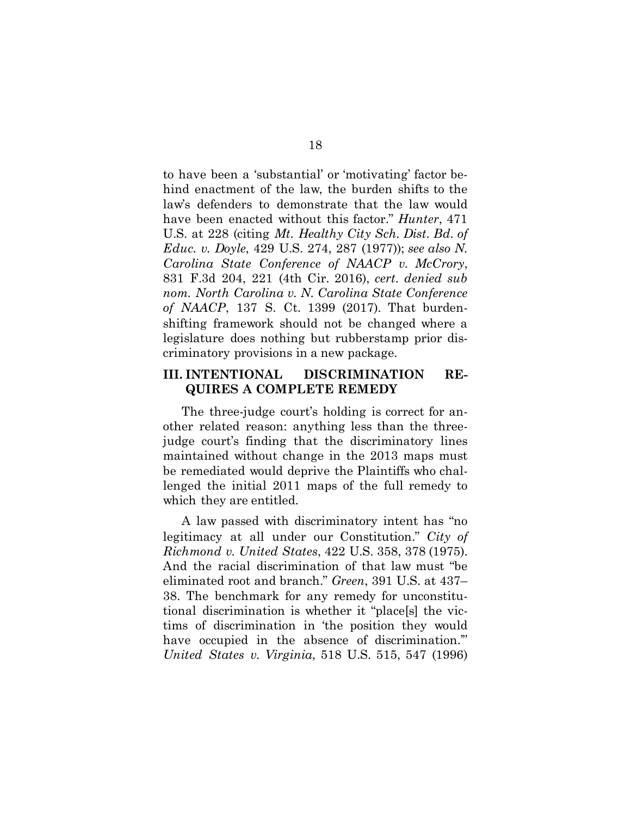to have been a 'substantial' or 'motivating' factor behind enactment of the law, the burden shifts to the law's defenders to demonstrate that the law would have been enacted without this factor." *Hunter*, 471 U.S. at 228 (citing *Mt. Healthy City Sch. Dist. Bd. of Educ. v. Doyle*, 429 U.S. 274, 287 (1977)); *see also N. Carolina State Conference of NAACP v. McCrory*, 831 F.3d 204, 221 (4th Cir. 2016), *cert. denied sub nom. North Carolina v. N. Carolina State Conference of NAACP*, 137 S. Ct. 1399 (2017). That burdenshifting framework should not be changed where a legislature does nothing but rubberstamp prior discriminatory provisions in a new package.

#### <span id="page-24-0"></span>**III. INTENTIONAL DISCRIMINATION RE-QUIRES A COMPLETE REMEDY**

The three-judge court's holding is correct for another related reason: anything less than the threejudge court's finding that the discriminatory lines maintained without change in the 2013 maps must be remediated would deprive the Plaintiffs who challenged the initial 2011 maps of the full remedy to which they are entitled.

A law passed with discriminatory intent has "no legitimacy at all under our Constitution." *City of Richmond v. United States*, 422 U.S. 358, 378 (1975). And the racial discrimination of that law must "be eliminated root and branch." *Green*, 391 U.S. at 437– 38. The benchmark for any remedy for unconstitutional discrimination is whether it "place[s] the victims of discrimination in 'the position they would have occupied in the absence of discrimination." *United States v. Virginia*, 518 U.S. 515, 547 (1996)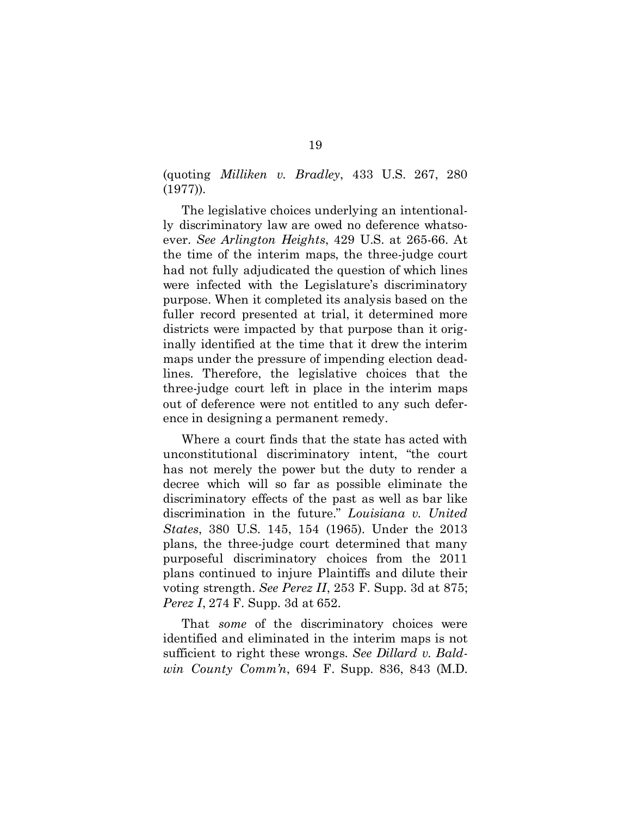(quoting *Milliken v. Bradley*, 433 U.S. 267, 280 (1977)).

The legislative choices underlying an intentionally discriminatory law are owed no deference whatsoever. *See Arlington Heights*, 429 U.S. at 265-66. At the time of the interim maps, the three-judge court had not fully adjudicated the question of which lines were infected with the Legislature's discriminatory purpose. When it completed its analysis based on the fuller record presented at trial, it determined more districts were impacted by that purpose than it originally identified at the time that it drew the interim maps under the pressure of impending election deadlines. Therefore, the legislative choices that the three-judge court left in place in the interim maps out of deference were not entitled to any such deference in designing a permanent remedy.

Where a court finds that the state has acted with unconstitutional discriminatory intent, "the court has not merely the power but the duty to render a decree which will so far as possible eliminate the discriminatory effects of the past as well as bar like discrimination in the future." *Louisiana v. United States*, 380 U.S. 145, 154 (1965). Under the 2013 plans, the three-judge court determined that many purposeful discriminatory choices from the 2011 plans continued to injure Plaintiffs and dilute their voting strength. *See Perez II*, 253 F. Supp. 3d at 875; *Perez I*, 274 F. Supp. 3d at 652.

That *some* of the discriminatory choices were identified and eliminated in the interim maps is not sufficient to right these wrongs. *See Dillard v. Baldwin County Comm'n*, 694 F. Supp. 836, 843 (M.D.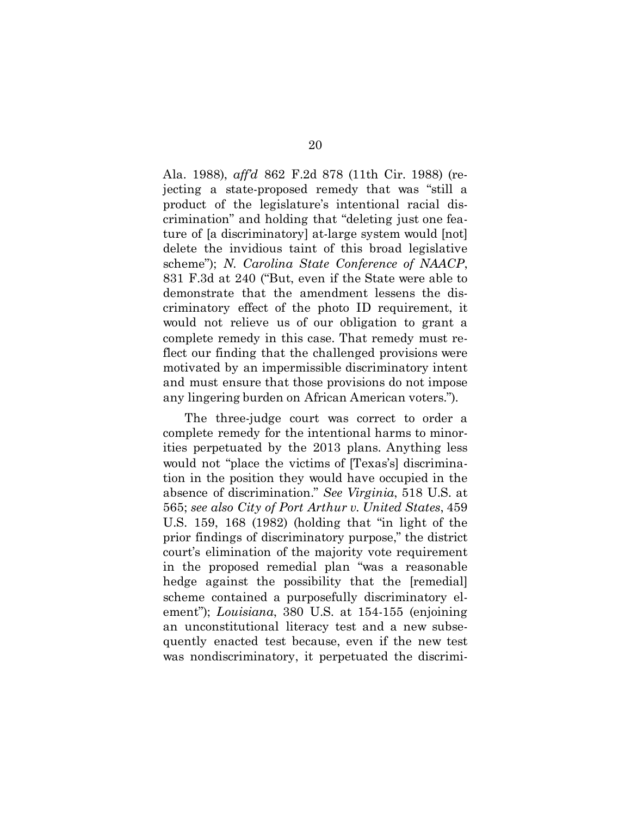Ala. 1988), *aff'd* 862 F.2d 878 (11th Cir. 1988) (rejecting a state-proposed remedy that was "still a product of the legislature's intentional racial discrimination" and holding that "deleting just one feature of [a discriminatory] at-large system would [not] delete the invidious taint of this broad legislative scheme"); *N. Carolina State Conference of NAACP*, 831 F.3d at 240 ("But, even if the State were able to demonstrate that the amendment lessens the discriminatory effect of the photo ID requirement, it would not relieve us of our obligation to grant a complete remedy in this case. That remedy must reflect our finding that the challenged provisions were motivated by an impermissible discriminatory intent and must ensure that those provisions do not impose any lingering burden on African American voters.").

The three-judge court was correct to order a complete remedy for the intentional harms to minorities perpetuated by the 2013 plans. Anything less would not "place the victims of [Texas's] discrimination in the position they would have occupied in the absence of discrimination." *See Virginia*, 518 U.S. at 565; *see also City of Port Arthur v. United States*, 459 U.S. 159, 168 (1982) (holding that "in light of the prior findings of discriminatory purpose," the district court's elimination of the majority vote requirement in the proposed remedial plan "was a reasonable hedge against the possibility that the [remedial] scheme contained a purposefully discriminatory element"); *Louisiana*, 380 U.S. at 154-155 (enjoining an unconstitutional literacy test and a new subsequently enacted test because, even if the new test was nondiscriminatory, it perpetuated the discrimi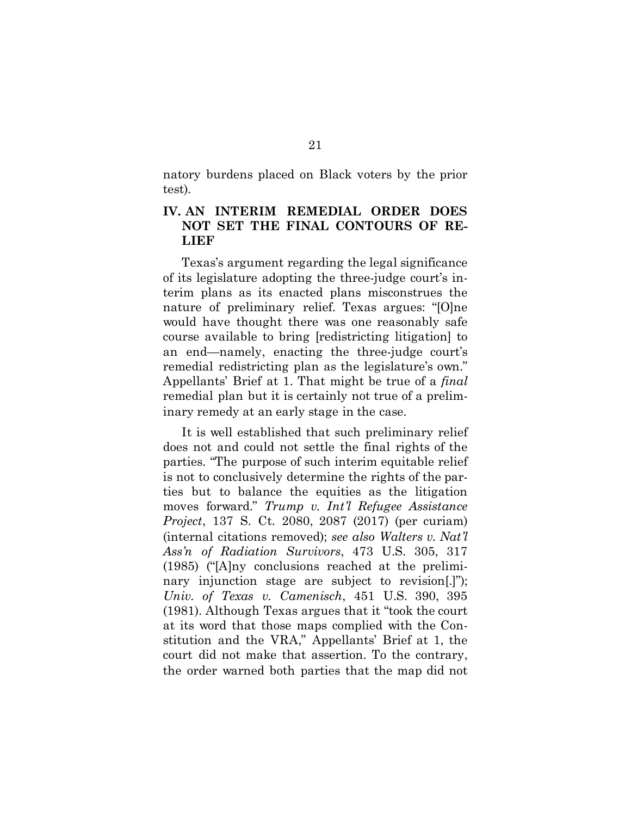natory burdens placed on Black voters by the prior test).

### <span id="page-27-0"></span>**IV. AN INTERIM REMEDIAL ORDER DOES NOT SET THE FINAL CONTOURS OF RE-LIEF**

Texas's argument regarding the legal significance of its legislature adopting the three-judge court's interim plans as its enacted plans misconstrues the nature of preliminary relief. Texas argues: "[O]ne would have thought there was one reasonably safe course available to bring [redistricting litigation] to an end—namely, enacting the three-judge court's remedial redistricting plan as the legislature's own." Appellants' Brief at 1. That might be true of a *final* remedial plan but it is certainly not true of a preliminary remedy at an early stage in the case.

It is well established that such preliminary relief does not and could not settle the final rights of the parties. "The purpose of such interim equitable relief is not to conclusively determine the rights of the parties but to balance the equities as the litigation moves forward." *Trump v. Int'l Refugee Assistance Project*, 137 S. Ct. 2080, 2087 (2017) (per curiam) (internal citations removed); *see also Walters v. Nat'l Ass'n of Radiation Survivors*, 473 U.S. 305, 317 (1985) ("[A]ny conclusions reached at the preliminary injunction stage are subject to revision[.]"); *Univ. of Texas v. Camenisch*, 451 U.S. 390, 395 (1981). Although Texas argues that it "took the court at its word that those maps complied with the Constitution and the VRA," Appellants' Brief at 1, the court did not make that assertion. To the contrary, the order warned both parties that the map did not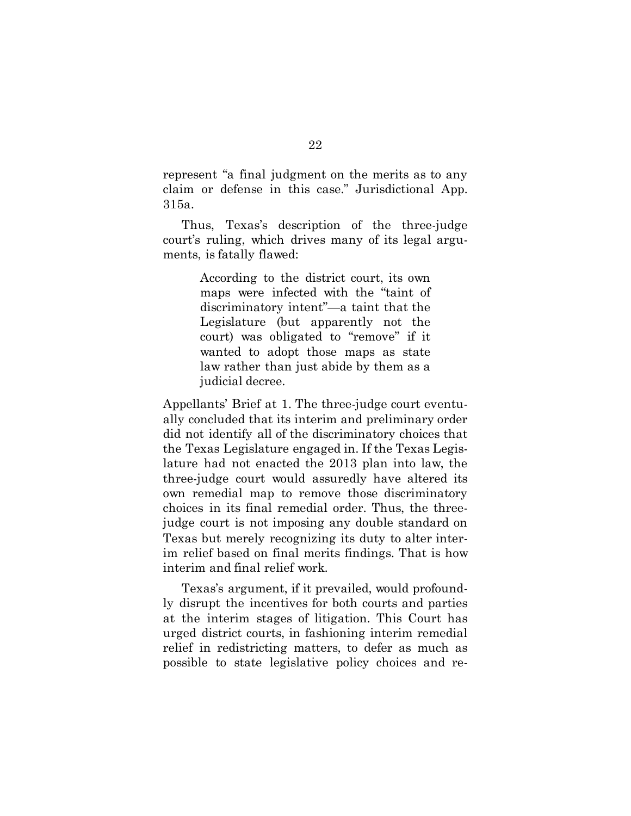represent "a final judgment on the merits as to any claim or defense in this case." Jurisdictional App. 315a.

Thus, Texas's description of the three-judge court's ruling, which drives many of its legal arguments, is fatally flawed:

> According to the district court, its own maps were infected with the "taint of discriminatory intent"—a taint that the Legislature (but apparently not the court) was obligated to "remove" if it wanted to adopt those maps as state law rather than just abide by them as a judicial decree.

Appellants' Brief at 1. The three-judge court eventually concluded that its interim and preliminary order did not identify all of the discriminatory choices that the Texas Legislature engaged in. If the Texas Legislature had not enacted the 2013 plan into law, the three-judge court would assuredly have altered its own remedial map to remove those discriminatory choices in its final remedial order. Thus, the threejudge court is not imposing any double standard on Texas but merely recognizing its duty to alter interim relief based on final merits findings. That is how interim and final relief work.

Texas's argument, if it prevailed, would profoundly disrupt the incentives for both courts and parties at the interim stages of litigation. This Court has urged district courts, in fashioning interim remedial relief in redistricting matters, to defer as much as possible to state legislative policy choices and re-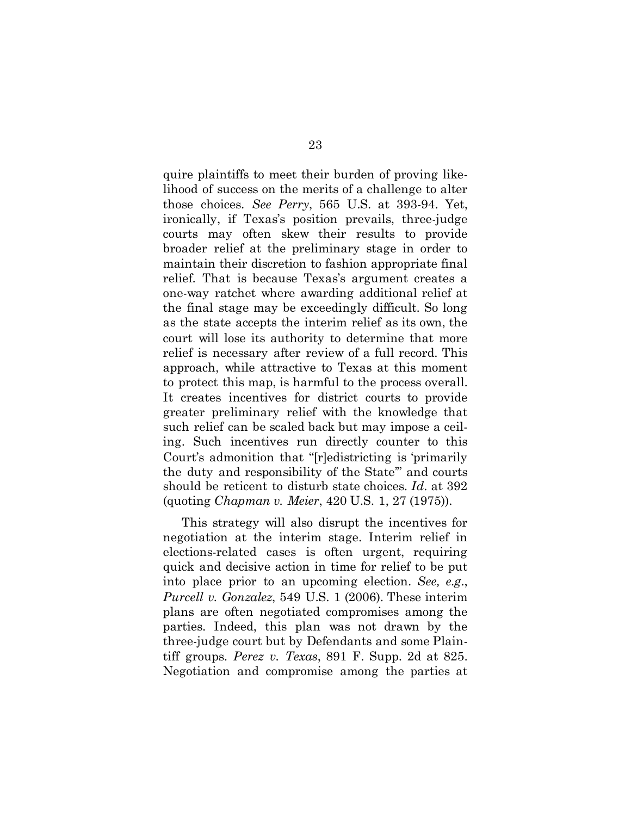quire plaintiffs to meet their burden of proving likelihood of success on the merits of a challenge to alter those choices. *See Perry*, 565 U.S. at 393-94. Yet, ironically, if Texas's position prevails, three-judge courts may often skew their results to provide broader relief at the preliminary stage in order to maintain their discretion to fashion appropriate final relief. That is because Texas's argument creates a one-way ratchet where awarding additional relief at the final stage may be exceedingly difficult. So long as the state accepts the interim relief as its own, the court will lose its authority to determine that more relief is necessary after review of a full record. This approach, while attractive to Texas at this moment to protect this map, is harmful to the process overall. It creates incentives for district courts to provide greater preliminary relief with the knowledge that such relief can be scaled back but may impose a ceiling. Such incentives run directly counter to this Court's admonition that "[r]edistricting is 'primarily the duty and responsibility of the State'" and courts should be reticent to disturb state choices. *Id.* at 392 (quoting *Chapman v. Meier*, 420 U.S. 1, 27 (1975)).

This strategy will also disrupt the incentives for negotiation at the interim stage. Interim relief in elections-related cases is often urgent, requiring quick and decisive action in time for relief to be put into place prior to an upcoming election. *See, e.g.*, *Purcell v. Gonzalez*, 549 U.S. 1 (2006). These interim plans are often negotiated compromises among the parties. Indeed, this plan was not drawn by the three-judge court but by Defendants and some Plaintiff groups. *Perez v. Texas*, 891 F. Supp. 2d at 825. Negotiation and compromise among the parties at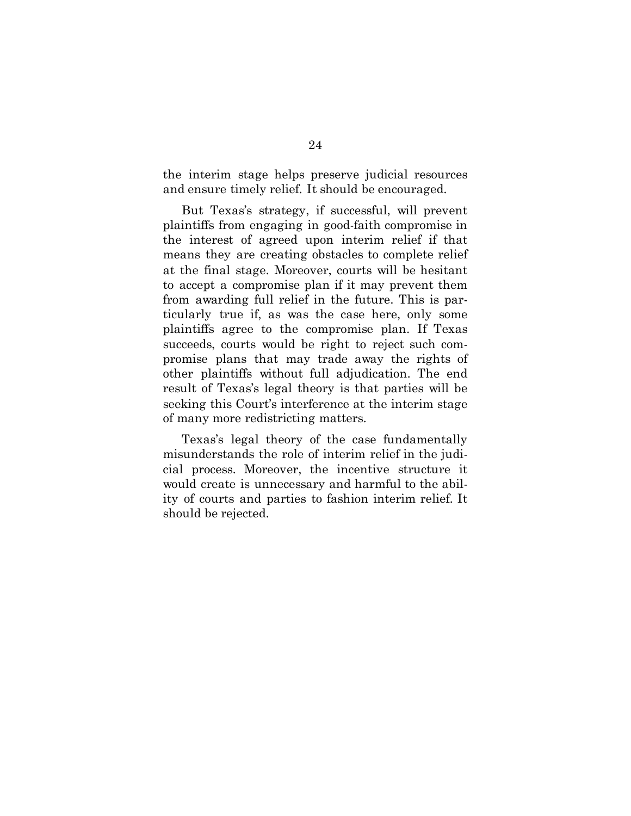the interim stage helps preserve judicial resources and ensure timely relief. It should be encouraged.

But Texas's strategy, if successful, will prevent plaintiffs from engaging in good-faith compromise in the interest of agreed upon interim relief if that means they are creating obstacles to complete relief at the final stage. Moreover, courts will be hesitant to accept a compromise plan if it may prevent them from awarding full relief in the future. This is particularly true if, as was the case here, only some plaintiffs agree to the compromise plan. If Texas succeeds, courts would be right to reject such compromise plans that may trade away the rights of other plaintiffs without full adjudication. The end result of Texas's legal theory is that parties will be seeking this Court's interference at the interim stage of many more redistricting matters.

Texas's legal theory of the case fundamentally misunderstands the role of interim relief in the judicial process. Moreover, the incentive structure it would create is unnecessary and harmful to the ability of courts and parties to fashion interim relief. It should be rejected.